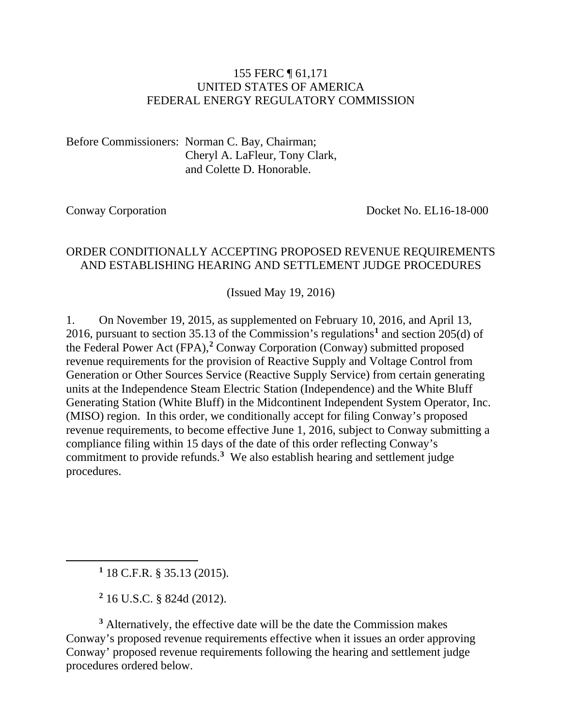#### 155 FERC ¶ 61,171 UNITED STATES OF AMERICA FEDERAL ENERGY REGULATORY COMMISSION

Before Commissioners: Norman C. Bay, Chairman; Cheryl A. LaFleur, Tony Clark, and Colette D. Honorable.

Conway Corporation Docket No. EL16-18-000

#### ORDER CONDITIONALLY ACCEPTING PROPOSED REVENUE REQUIREMENTS AND ESTABLISHING HEARING AND SETTLEMENT JUDGE PROCEDURES

(Issued May 19, 2016)

1. On November 19, 2015, as supplemented on February 10, 2016, and April 13, 2016, pursuant to section 35.13 of the Commission's regulations**[1](#page-0-0)** and section 205(d) of the Federal Power Act (FPA),**[2](#page-0-1)** Conway Corporation (Conway) submitted proposed revenue requirements for the provision of Reactive Supply and Voltage Control from Generation or Other Sources Service (Reactive Supply Service) from certain generating units at the Independence Steam Electric Station (Independence) and the White Bluff Generating Station (White Bluff) in the Midcontinent Independent System Operator, Inc. (MISO) region. In this order, we conditionally accept for filing Conway's proposed revenue requirements, to become effective June 1, 2016, subject to Conway submitting a compliance filing within 15 days of the date of this order reflecting Conway's commitment to provide refunds.**[3](#page-0-2)** We also establish hearing and settlement judge procedures.

**<sup>1</sup>** 18 C.F.R. § 35.13 (2015).

<span id="page-0-0"></span> $\overline{a}$ 

**<sup>2</sup>** 16 U.S.C. § 824d (2012).

<span id="page-0-2"></span><span id="page-0-1"></span>**<sup>3</sup>** Alternatively, the effective date will be the date the Commission makes Conway's proposed revenue requirements effective when it issues an order approving Conway' proposed revenue requirements following the hearing and settlement judge procedures ordered below.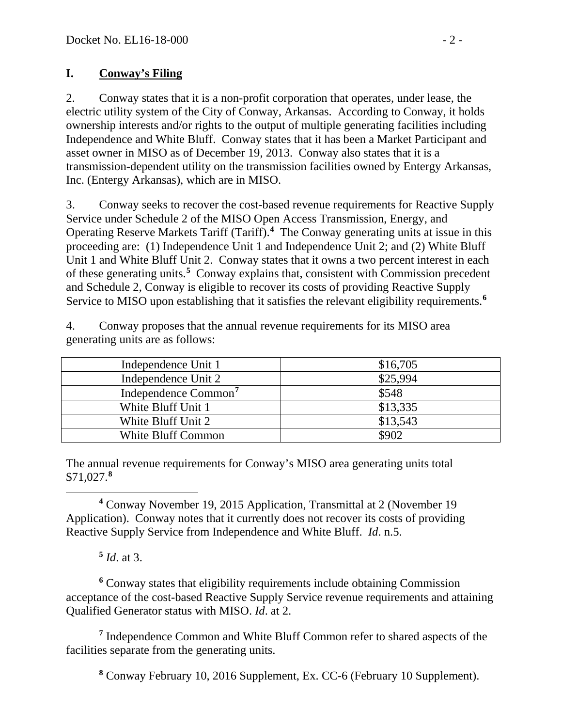# **I. Conway's Filing**

2. Conway states that it is a non-profit corporation that operates, under lease, the electric utility system of the City of Conway, Arkansas. According to Conway, it holds ownership interests and/or rights to the output of multiple generating facilities including Independence and White Bluff. Conway states that it has been a Market Participant and asset owner in MISO as of December 19, 2013. Conway also states that it is a transmission-dependent utility on the transmission facilities owned by Entergy Arkansas, Inc. (Entergy Arkansas), which are in MISO.

3. Conway seeks to recover the cost-based revenue requirements for Reactive Supply Service under Schedule 2 of the MISO Open Access Transmission, Energy, and Operating Reserve Markets Tariff (Tariff).**[4](#page-1-0)** The Conway generating units at issue in this proceeding are: (1) Independence Unit 1 and Independence Unit 2; and (2) White Bluff Unit 1 and White Bluff Unit 2. Conway states that it owns a two percent interest in each of these generating units. **[5](#page-1-1)** Conway explains that, consistent with Commission precedent and Schedule 2, Conway is eligible to recover its costs of providing Reactive Supply Service to MISO upon establishing that it satisfies the relevant eligibility requirements. **[6](#page-1-2)**

4. Conway proposes that the annual revenue requirements for its MISO area generating units are as follows:

| Independence Unit 1              | \$16,705 |
|----------------------------------|----------|
| Independence Unit 2              | \$25,994 |
| Independence Common <sup>7</sup> | \$548    |
| White Bluff Unit 1               | \$13,335 |
| White Bluff Unit 2               | \$13,543 |
| <b>White Bluff Common</b>        | \$902    |

The annual revenue requirements for Conway's MISO area generating units total \$71,027.**[8](#page-1-4)**

<span id="page-1-0"></span> **<sup>4</sup>** Conway November 19, 2015 Application, Transmittal at 2 (November 19 Application). Conway notes that it currently does not recover its costs of providing Reactive Supply Service from Independence and White Bluff. *Id*. n.5.

# **<sup>5</sup>** *Id*. at 3.

<span id="page-1-2"></span><span id="page-1-1"></span>**<sup>6</sup>** Conway states that eligibility requirements include obtaining Commission acceptance of the cost-based Reactive Supply Service revenue requirements and attaining Qualified Generator status with MISO. *Id*. at 2.

<span id="page-1-4"></span><span id="page-1-3"></span>**<sup>7</sup>** Independence Common and White Bluff Common refer to shared aspects of the facilities separate from the generating units.

**<sup>8</sup>** Conway February 10, 2016 Supplement, Ex. CC-6 (February 10 Supplement).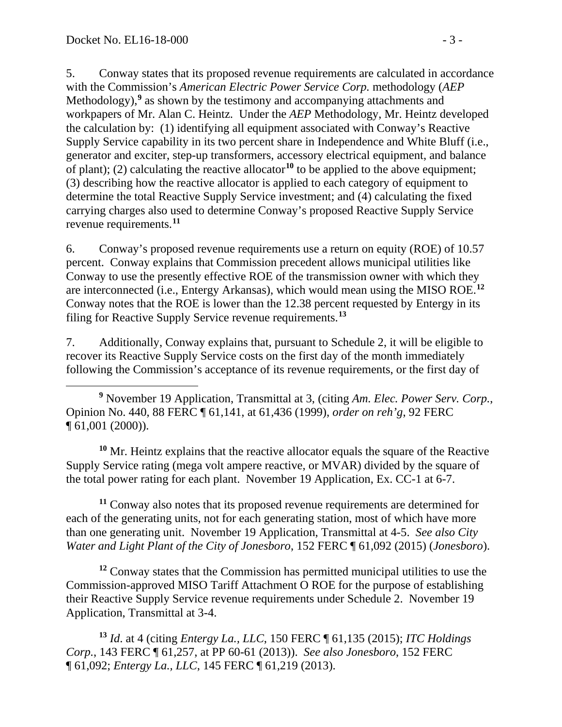5. Conway states that its proposed revenue requirements are calculated in accordance with the Commission's *American Electric Power Service Corp.* methodology (*AEP*  Methodology),**[9](#page-2-0)** as shown by the testimony and accompanying attachments and workpapers of Mr. Alan C. Heintz. Under the *AEP* Methodology, Mr. Heintz developed the calculation by: (1) identifying all equipment associated with Conway's Reactive Supply Service capability in its two percent share in Independence and White Bluff (i.e., generator and exciter, step-up transformers, accessory electrical equipment, and balance of plant); (2) calculating the reactive allocator**[10](#page-2-1)** to be applied to the above equipment; (3) describing how the reactive allocator is applied to each category of equipment to determine the total Reactive Supply Service investment; and (4) calculating the fixed carrying charges also used to determine Conway's proposed Reactive Supply Service revenue requirements.**[11](#page-2-2)**

6. Conway's proposed revenue requirements use a return on equity (ROE) of 10.57 percent. Conway explains that Commission precedent allows municipal utilities like Conway to use the presently effective ROE of the transmission owner with which they are interconnected (i.e., Entergy Arkansas), which would mean using the MISO ROE.**[12](#page-2-3)** Conway notes that the ROE is lower than the 12.38 percent requested by Entergy in its filing for Reactive Supply Service revenue requirements.**[13](#page-2-4)**

7. Additionally, Conway explains that, pursuant to Schedule 2, it will be eligible to recover its Reactive Supply Service costs on the first day of the month immediately following the Commission's acceptance of its revenue requirements, or the first day of

<span id="page-2-0"></span> $\overline{a}$ **<sup>9</sup>** November 19 Application, Transmittal at 3, (citing *Am. Elec. Power Serv. Corp.*, Opinion No. 440, 88 FERC ¶ 61,141, at 61,436 (1999), *order on reh'g*, 92 FERC ¶ 61,001 (2000)).

<span id="page-2-1"></span>**<sup>10</sup>** Mr. Heintz explains that the reactive allocator equals the square of the Reactive Supply Service rating (mega volt ampere reactive, or MVAR) divided by the square of the total power rating for each plant. November 19 Application, Ex. CC-1 at 6-7.

<span id="page-2-2"></span>**<sup>11</sup>** Conway also notes that its proposed revenue requirements are determined for each of the generating units, not for each generating station, most of which have more than one generating unit. November 19 Application, Transmittal at 4-5. *See also City Water and Light Plant of the City of Jonesboro*, 152 FERC ¶ 61,092 (2015) (*Jonesboro*).

<span id="page-2-3"></span>**<sup>12</sup>** Conway states that the Commission has permitted municipal utilities to use the Commission-approved MISO Tariff Attachment O ROE for the purpose of establishing their Reactive Supply Service revenue requirements under Schedule 2. November 19 Application, Transmittal at 3-4.

<span id="page-2-4"></span>**<sup>13</sup>** *Id*. at 4 (citing *Entergy La., LLC*, 150 FERC ¶ 61,135 (2015); *ITC Holdings Corp.*, 143 FERC ¶ 61,257, at PP 60-61 (2013)). *See also Jonesboro*, 152 FERC ¶ 61,092; *Entergy La., LLC*, 145 FERC ¶ 61,219 (2013).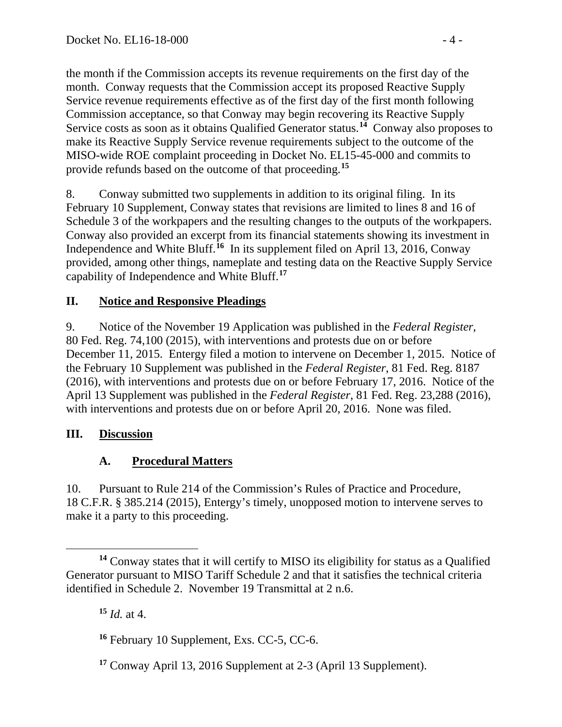the month if the Commission accepts its revenue requirements on the first day of the month. Conway requests that the Commission accept its proposed Reactive Supply Service revenue requirements effective as of the first day of the first month following Commission acceptance, so that Conway may begin recovering its Reactive Supply Service costs as soon as it obtains Qualified Generator status.**[14](#page-3-0)** Conway also proposes to make its Reactive Supply Service revenue requirements subject to the outcome of the MISO-wide ROE complaint proceeding in Docket No. EL15-45-000 and commits to provide refunds based on the outcome of that proceeding. **[15](#page-3-1)**

8. Conway submitted two supplements in addition to its original filing. In its February 10 Supplement, Conway states that revisions are limited to lines 8 and 16 of Schedule 3 of the workpapers and the resulting changes to the outputs of the workpapers. Conway also provided an excerpt from its financial statements showing its investment in Independence and White Bluff.**[16](#page-3-2)** In its supplement filed on April 13, 2016, Conway provided, among other things, nameplate and testing data on the Reactive Supply Service capability of Independence and White Bluff.**[17](#page-3-3)**

# **II. Notice and Responsive Pleadings**

9. Notice of the November 19 Application was published in the *Federal Register*, 80 Fed. Reg. 74,100 (2015), with interventions and protests due on or before December 11, 2015. Entergy filed a motion to intervene on December 1, 2015. Notice of the February 10 Supplement was published in the *Federal Register*, 81 Fed. Reg. 8187 (2016), with interventions and protests due on or before February 17, 2016. Notice of the April 13 Supplement was published in the *Federal Register*, 81 Fed. Reg. 23,288 (2016), with interventions and protests due on or before April 20, 2016. None was filed.

#### **III. Discussion**

# **A. Procedural Matters**

10. Pursuant to Rule 214 of the Commission's Rules of Practice and Procedure, 18 C.F.R. § 385.214 (2015), Entergy's timely, unopposed motion to intervene serves to make it a party to this proceeding.

**<sup>15</sup>** *Id.* at 4.

<span id="page-3-1"></span><span id="page-3-0"></span> $\overline{a}$ **<sup>14</sup>** Conway states that it will certify to MISO its eligibility for status as a Qualified Generator pursuant to MISO Tariff Schedule 2 and that it satisfies the technical criteria identified in Schedule 2. November 19 Transmittal at 2 n.6.

<span id="page-3-2"></span>**<sup>16</sup>** February 10 Supplement, Exs. CC-5, CC-6.

<span id="page-3-3"></span>**<sup>17</sup>** Conway April 13, 2016 Supplement at 2-3 (April 13 Supplement).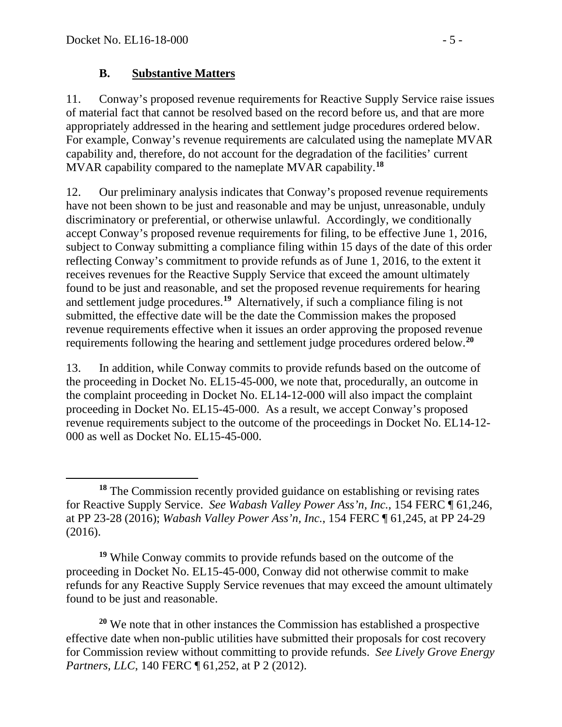### **B. Substantive Matters**

11. Conway's proposed revenue requirements for Reactive Supply Service raise issues of material fact that cannot be resolved based on the record before us, and that are more appropriately addressed in the hearing and settlement judge procedures ordered below. For example, Conway's revenue requirements are calculated using the nameplate MVAR capability and, therefore, do not account for the degradation of the facilities' current MVAR capability compared to the nameplate MVAR capability.**[18](#page-4-0)**

12. Our preliminary analysis indicates that Conway's proposed revenue requirements have not been shown to be just and reasonable and may be unjust, unreasonable, unduly discriminatory or preferential, or otherwise unlawful. Accordingly, we conditionally accept Conway's proposed revenue requirements for filing, to be effective June 1, 2016, subject to Conway submitting a compliance filing within 15 days of the date of this order reflecting Conway's commitment to provide refunds as of June 1, 2016, to the extent it receives revenues for the Reactive Supply Service that exceed the amount ultimately found to be just and reasonable, and set the proposed revenue requirements for hearing and settlement judge procedures.**[19](#page-4-1)** Alternatively, if such a compliance filing is not submitted, the effective date will be the date the Commission makes the proposed revenue requirements effective when it issues an order approving the proposed revenue requirements following the hearing and settlement judge procedures ordered below.**[20](#page-4-2)**

13. In addition, while Conway commits to provide refunds based on the outcome of the proceeding in Docket No. EL15-45-000, we note that, procedurally, an outcome in the complaint proceeding in Docket No. EL14-12-000 will also impact the complaint proceeding in Docket No. EL15-45-000. As a result, we accept Conway's proposed revenue requirements subject to the outcome of the proceedings in Docket No. EL14-12- 000 as well as Docket No. EL15-45-000.

<span id="page-4-1"></span>**<sup>19</sup>** While Conway commits to provide refunds based on the outcome of the proceeding in Docket No. EL15-45-000, Conway did not otherwise commit to make refunds for any Reactive Supply Service revenues that may exceed the amount ultimately found to be just and reasonable.

<span id="page-4-2"></span>**<sup>20</sup>** We note that in other instances the Commission has established a prospective effective date when non-public utilities have submitted their proposals for cost recovery for Commission review without committing to provide refunds. *See Lively Grove Energy Partners, LLC, 140 FERC*  $\sqrt{61,252}$ , at P 2 (2012).

<span id="page-4-0"></span> $\overline{a}$ **<sup>18</sup>** The Commission recently provided guidance on establishing or revising rates for Reactive Supply Service. *See Wabash Valley Power Ass'n, Inc.*, 154 FERC ¶ 61,246, at PP 23-28 (2016); *Wabash Valley Power Ass'n, Inc.*, 154 FERC ¶ 61,245, at PP 24-29 (2016).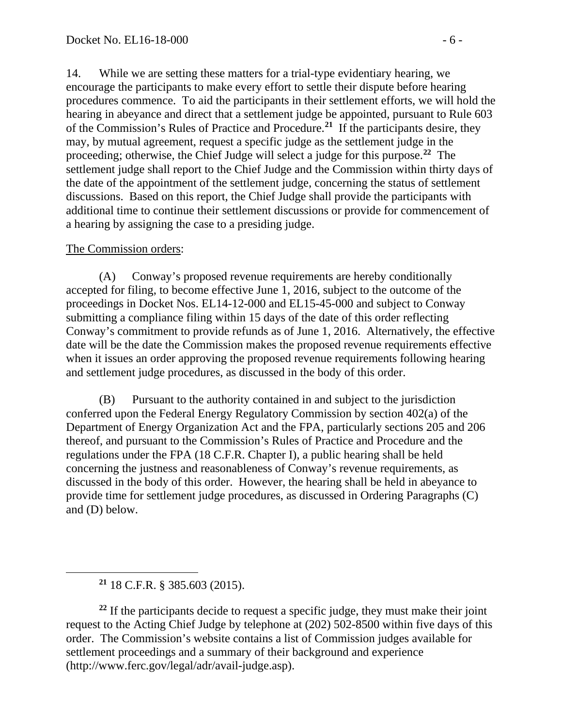14. While we are setting these matters for a trial-type evidentiary hearing, we encourage the participants to make every effort to settle their dispute before hearing procedures commence. To aid the participants in their settlement efforts, we will hold the hearing in abeyance and direct that a settlement judge be appointed, pursuant to Rule 603 of the Commission's Rules of Practice and Procedure.**[21](#page-5-0)** If the participants desire, they may, by mutual agreement, request a specific judge as the settlement judge in the proceeding; otherwise, the Chief Judge will select a judge for this purpose.**[22](#page-5-1)** The settlement judge shall report to the Chief Judge and the Commission within thirty days of the date of the appointment of the settlement judge, concerning the status of settlement discussions. Based on this report, the Chief Judge shall provide the participants with additional time to continue their settlement discussions or provide for commencement of a hearing by assigning the case to a presiding judge.

#### The Commission orders:

(A) Conway's proposed revenue requirements are hereby conditionally accepted for filing, to become effective June 1, 2016, subject to the outcome of the proceedings in Docket Nos. EL14-12-000 and EL15-45-000 and subject to Conway submitting a compliance filing within 15 days of the date of this order reflecting Conway's commitment to provide refunds as of June 1, 2016. Alternatively, the effective date will be the date the Commission makes the proposed revenue requirements effective when it issues an order approving the proposed revenue requirements following hearing and settlement judge procedures, as discussed in the body of this order.

(B) Pursuant to the authority contained in and subject to the jurisdiction conferred upon the Federal Energy Regulatory Commission by section 402(a) of the Department of Energy Organization Act and the FPA, particularly sections 205 and 206 thereof, and pursuant to the Commission's Rules of Practice and Procedure and the regulations under the FPA (18 C.F.R. Chapter I), a public hearing shall be held concerning the justness and reasonableness of Conway's revenue requirements, as discussed in the body of this order. However, the hearing shall be held in abeyance to provide time for settlement judge procedures, as discussed in Ordering Paragraphs (C) and (D) below.

<span id="page-5-0"></span> $\overline{a}$ 

<span id="page-5-1"></span><sup>22</sup> If the participants decide to request a specific judge, they must make their joint request to the Acting Chief Judge by telephone at (202) 502-8500 within five days of this order. The Commission's website contains a list of Commission judges available for settlement proceedings and a summary of their background and experience (http://www.ferc.gov/legal/adr/avail-judge.asp).

**<sup>21</sup>** 18 C.F.R. § 385.603 (2015).